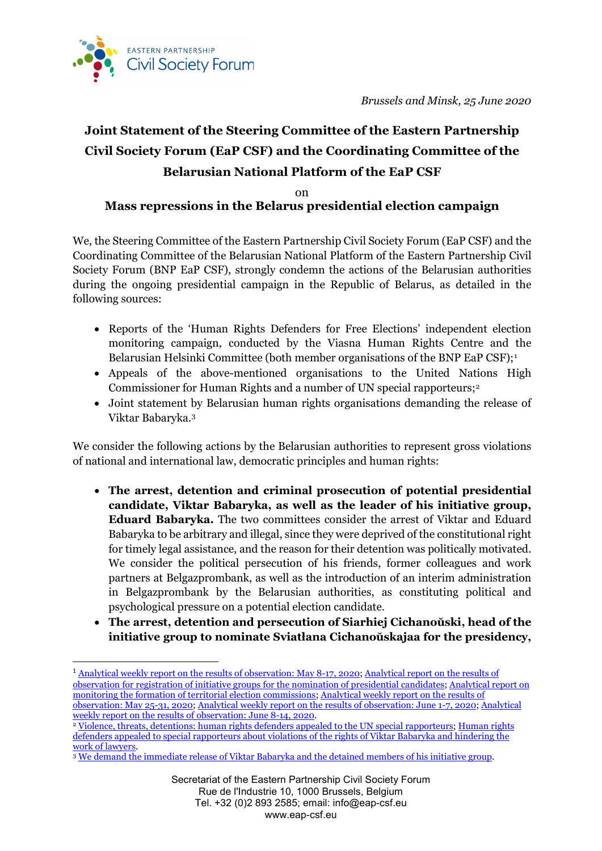

# **Joint Statement of the Steering Committee of the Eastern Partnership Civil Society Forum (EaP CSF) and the Coordinating Committee of the Belarusian National Platform of the EaP CSF**

### on **Mass repressions in the Belarus presidential election campaign**

We, the Steering Committee of the Eastern Partnership Civil Society Forum (EaP CSF) and the Coordinating Committee of the Belarusian National Platform of the Eastern Partnership Civil Society Forum (BNP EaP CSF), strongly condemn the actions of the Belarusian authorities during the ongoing presidential campaign in the Republic of Belarus, as detailed in the following sources:

- Reports of the 'Human Rights Defenders for Free Elections' independent election monitoring campaign, conducted by the Viasna Human Rights Centre and the Belarusian Helsinki Committee (both member organisations of the BNP EaP CSF);<sup>[1](#page-0-0)</sup>
- Appeals of the above-mentioned organisations to the United Nations High Commissioner for Human Rights and a number of UN special rapporteurs;[2](#page-0-1)
- Joint statement by Belarusian human rights organisations demanding the release of Viktar Babaryka.[3](#page-0-2)

We consider the following actions by the Belarusian authorities to represent gross violations of national and international law, democratic principles and human rights:

- **The arrest, detention and criminal prosecution of potential presidential candidate, Viktar Babaryka, as well as the leader of his initiative group, Eduard Babaryka.** The two committees consider the arrest of Viktar and Eduard Babaryka to be arbitrary and illegal, since they were deprived of the constitutional right for timely legal assistance, and the reason for their detention was politically motivated. We consider the political persecution of his friends, former colleagues and work partners at Belgazprombank, as well as the introduction of an interim administration in Belgazprombank by the Belarusian authorities, as constituting political and psychological pressure on a potential election candidate.
- **The arrest, detention and persecution of Siarhiej Cichanoŭski, head of the initiative group to nominate Sviatłana Cichanoŭskajaa for the presidency,**

<span id="page-0-0"></span><sup>&</sup>lt;sup>1</sup> [Analytical weekly report on the results of observation: May 8-17, 2020;](http://spring96.org/files/misc/tydnevaja--8-17.05.2020-1.pdf) Analytical report on the results of [observation for registration of initiative groups for the nomination of presidential candidates;](http://spring96.org/files/misc/registracyja-inicyatyunyh-grup.pdf) [Analytical report on](http://spring96.org/files/misc/farmiravanne-tvk-bel.pdf)  [monitoring the formation of territorial election commissions;](http://spring96.org/files/misc/farmiravanne-tvk-bel.pdf) [Analytical weekly report on the results of](http://spring96.org/files/misc/tydnevaja-25-31-traunia-bel.pdf)  [observation: May 25-31, 2020;](http://spring96.org/files/misc/tydnevaja-25-31-traunia-bel.pdf) [Analytical weekly report on the results of observation: June 1-7, 2020;](http://spring96.org/files/misc/tydnevaja-1-7.06.bel.pdf) [Analytical](http://elections2020.spring96.org/be/news/97562)  [weekly report on the results of observation: June 8-14, 2020.](http://elections2020.spring96.org/be/news/97562)<br><sup>2</sup> [Violence, threats, detentions: human rights defenders appealed to the UN special rapporteurs;](https://spring96.org/ru/news/97625) Human rights

<span id="page-0-1"></span>[defenders appealed to special rapporteurs about violations of the rights of Viktar Babaryka and hindering the](http://spring96.org/ru/news/97677) work of lawyers.

<span id="page-0-2"></span><sup>&</sup>lt;sup>3</sup> [We demand the immediate release of Viktar Babaryka and the detained members of his initiative group.](http://spring96.org/be/news/97703)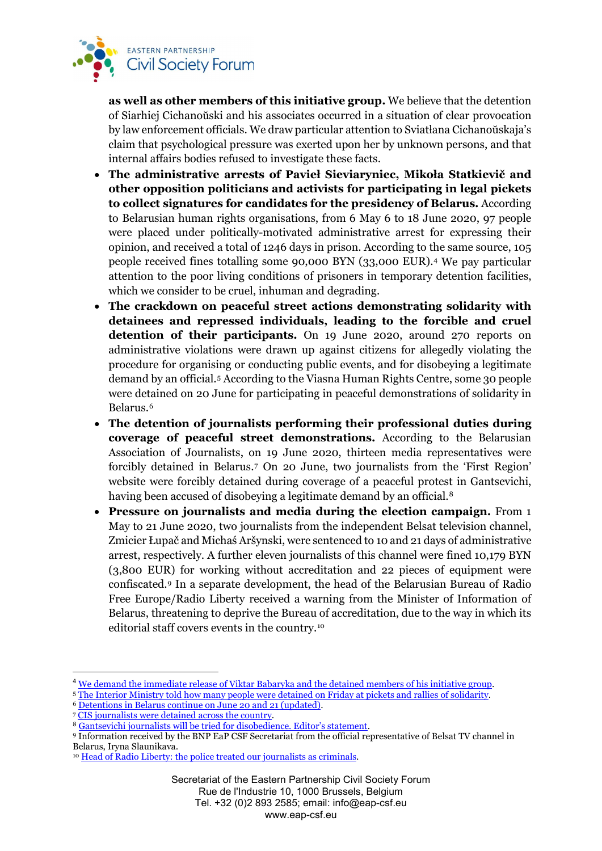

**as well as other members of this initiative group.** We believe that the detention of Siarhiej Cichanoŭski and his associates occurred in a situation of clear provocation by law enforcement officials. We draw particular attention to Sviatłana Cichanoŭskaja's claim that psychological pressure was exerted upon her by unknown persons, and that internal affairs bodies refused to investigate these facts.

- **The administrative arrests of Pavieł Sieviaryniec, Mikoła Statkievič and other opposition politicians and activists for participating in legal pickets to collect signatures for candidates for the presidency of Belarus.** According to Belarusian human rights organisations, from 6 May 6 to 18 June 2020, 97 people were placed under politically-motivated administrative arrest for expressing their opinion, and received a total of 1246 days in prison. According to the same source, 105 people received fines totalling some 90,000 BYN (33,000 EUR).[4](#page-1-0) We pay particular attention to the poor living conditions of prisoners in temporary detention facilities, which we consider to be cruel, inhuman and degrading.
- **The crackdown on peaceful street actions demonstrating solidarity with detainees and repressed individuals, leading to the forcible and cruel detention of their participants.** On 19 June 2020, around 270 reports on administrative violations were drawn up against citizens for allegedly violating the procedure for organising or conducting public events, and for disobeying a legitimate demand by an official.[5](#page-1-1) According to the Viasna Human Rights Centre, some 30 people were detained on 20 June for participating in peaceful demonstrations of solidarity in Belarus.[6](#page-1-2)
- **The detention of journalists performing their professional duties during coverage of peaceful street demonstrations.** According to the Belarusian Association of Journalists, on 19 June 2020, thirteen media representatives were forcibly detained in Belarus.[7](#page-1-3) On 20 June, two journalists from the 'First Region' website were forcibly detained during coverage of a peaceful protest in Gantsevichi, having been accused of disobeying a legitimate demand by an official.<sup>[8](#page-1-4)</sup>
- **Pressure on journalists and media during the election campaign.** From 1 May to 21 June 2020, two journalists from the independent Belsat television channel, Zmicier Łupač and Michaś Aršynski, were sentenced to 10 and 21 days of administrative arrest, respectively. A further eleven journalists of this channel were fined 10,179 BYN (3,800 EUR) for working without accreditation and 22 pieces of equipment were confiscated.[9](#page-1-5) In a separate development, the head of the Belarusian Bureau of Radio Free Europe/Radio Liberty received a warning from the Minister of Information of Belarus, threatening to deprive the Bureau of accreditation, due to the way in which its editorial staff covers events in the country.[10](#page-1-6)

<span id="page-1-3"></span><sup>7</sup> [CIS journalists were detained across the country.](https://baj.by/be/content/pa-kraine-zatrymlivali-zhurnalistau-spis)

<span id="page-1-0"></span><sup>&</sup>lt;sup>4</sup> [We demand the immediate release of Viktar Babaryka and the detained members of his initiative group.](http://spring96.org/be/news/97703)

<span id="page-1-1"></span><sup>5</sup> [The Interior Ministry told how many people were detained on Friday at pickets and rallies of solidarity.](https://news.tut.by/society/689623.html)

<span id="page-1-2"></span><sup>6</sup> [Detentions in Belarus continue on June 20 and 21 \(updated\).](http://spring96.org/be/news/97731)

<span id="page-1-4"></span><sup>8</sup> [Gantsevichi journalists will be tried for disobedience. Editor's statement.](https://1reg.by/2020/06/21/gancevichskih-zhurnalistov-budut-sudit-za-nepovinovenie-zayavlenie-glavnogo-redaktora/)

<span id="page-1-5"></span><sup>9</sup> Information received by the BNP EaP CSF Secretariat from the official representative of Belsat TV channel in Belarus, Iryna Slaunikava.

<span id="page-1-6"></span><sup>&</sup>lt;sup>10</sup> [Head of Radio Liberty: the police treated our journalists as criminals.](https://www.svaboda.org/a/30681692.html)